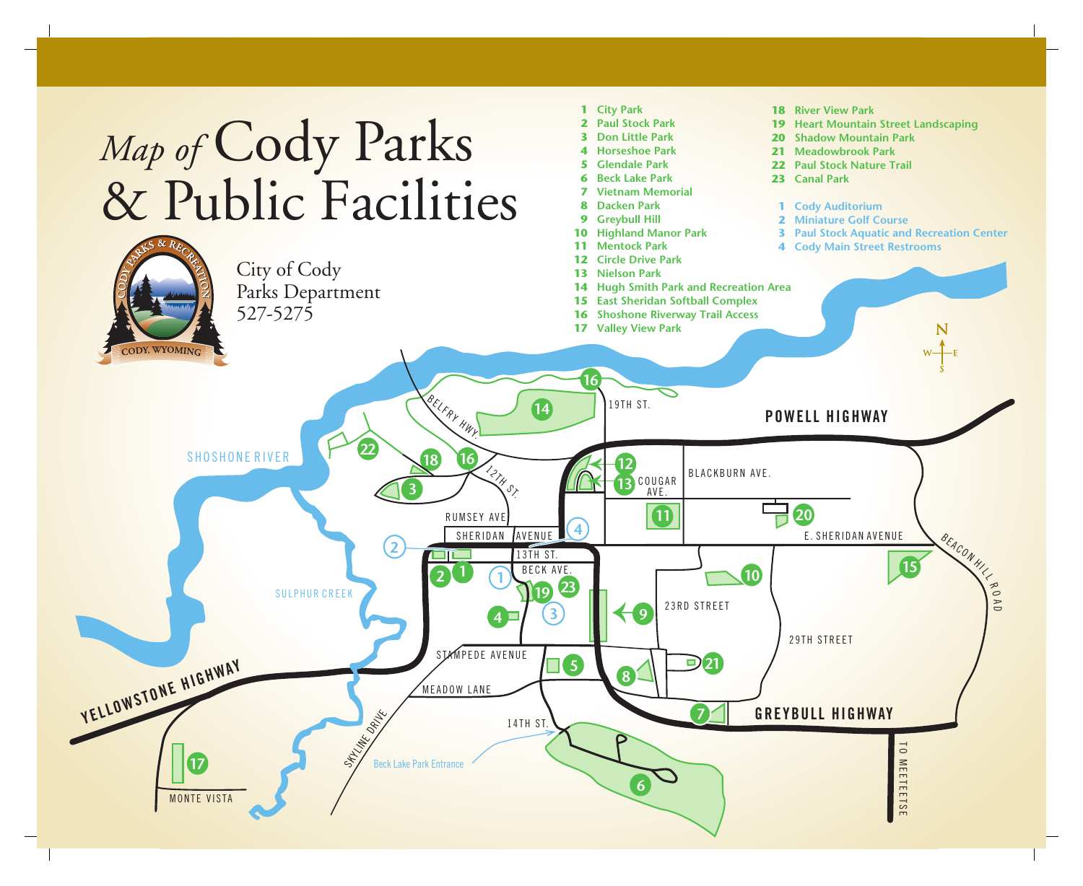